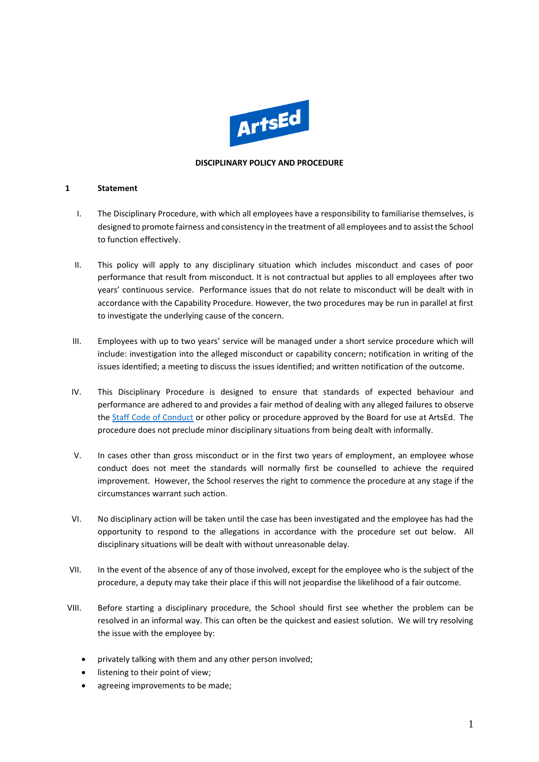

#### **DISCIPLINARY POLICY AND PROCEDURE**

#### **1 Statement**

- I. The Disciplinary Procedure, with which all employees have a responsibility to familiarise themselves, is designed to promote fairness and consistency in the treatment of all employees and to assist the School to function effectively.
- II. This policy will apply to any disciplinary situation which includes misconduct and cases of poor performance that result from misconduct. It is not contractual but applies to all employees after two years' continuous service. Performance issues that do not relate to misconduct will be dealt with in accordance with the Capability Procedure. However, the two procedures may be run in parallel at first to investigate the underlying cause of the concern.
- III. Employees with up to two years' service will be managed under a short service procedure which will include: investigation into the alleged misconduct or capability concern; notification in writing of the issues identified; a meeting to discuss the issues identified; and written notification of the outcome.
- IV. This Disciplinary Procedure is designed to ensure that standards of expected behaviour and performance are adhered to and provides a fair method of dealing with any alleged failures to observe the [Staff Code of Conduct](https://artsed003.blob.core.windows.net/policy/staff-code-of-conduct.pdf) or other policy or procedure approved by the Board for use at ArtsEd. The procedure does not preclude minor disciplinary situations from being dealt with informally.
- V. In cases other than gross misconduct or in the first two years of employment, an employee whose conduct does not meet the standards will normally first be counselled to achieve the required improvement. However, the School reserves the right to commence the procedure at any stage if the circumstances warrant such action.
- VI. No disciplinary action will be taken until the case has been investigated and the employee has had the opportunity to respond to the allegations in accordance with the procedure set out below. All disciplinary situations will be dealt with without unreasonable delay.
- VII. In the event of the absence of any of those involved, except for the employee who is the subject of the procedure, a deputy may take their place if this will not jeopardise the likelihood of a fair outcome.
- VIII. Before starting a disciplinary procedure, the School should first see whether the problem can be resolved in an informal way. This can often be the quickest and easiest solution. We will try resolving the issue with the employee by:
	- privately talking with them and any other person involved;
	- listening to their point of view;
	- agreeing improvements to be made;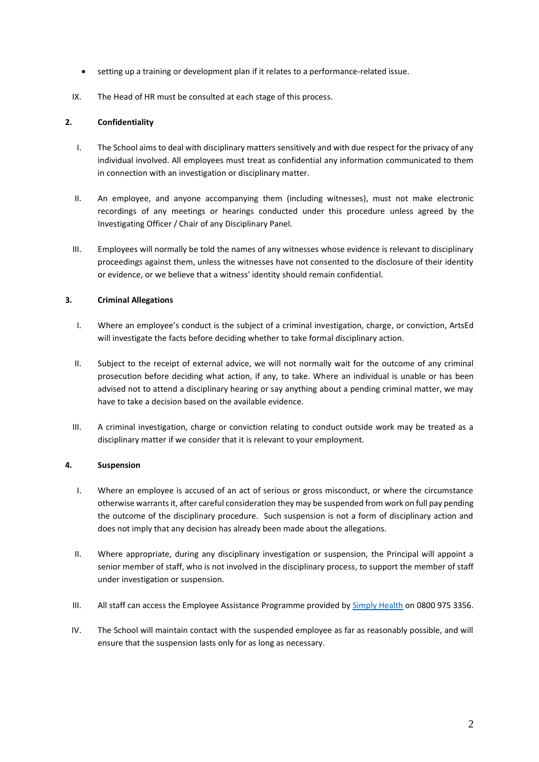- setting up a training or development plan if it relates to a performance-related issue.
- IX. The Head of HR must be consulted at each stage of this process.

# **2. Confidentiality**

- I. The School aims to deal with disciplinary matters sensitively and with due respect for the privacy of any individual involved. All employees must treat as confidential any information communicated to them in connection with an investigation or disciplinary matter.
- II. An employee, and anyone accompanying them (including witnesses), must not make electronic recordings of any meetings or hearings conducted under this procedure unless agreed by the Investigating Officer / Chair of any Disciplinary Panel.
- III. Employees will normally be told the names of any witnesses whose evidence is relevant to disciplinary proceedings against them, unless the witnesses have not consented to the disclosure of their identity or evidence, or we believe that a witness' identity should remain confidential.

### **3. Criminal Allegations**

- I. Where an employee's conduct is the subject of a criminal investigation, charge, or conviction, ArtsEd will investigate the facts before deciding whether to take formal disciplinary action.
- II. Subject to the receipt of external advice, we will not normally wait for the outcome of any criminal prosecution before deciding what action, if any, to take. Where an individual is unable or has been advised not to attend a disciplinary hearing or say anything about a pending criminal matter, we may have to take a decision based on the available evidence.
- III. A criminal investigation, charge or conviction relating to conduct outside work may be treated as a disciplinary matter if we consider that it is relevant to your employment.

#### **4. Suspension**

- I. Where an employee is accused of an act of serious or gross misconduct, or where the circumstance otherwise warrantsit, after careful consideration they may be suspended from work on full pay pending the outcome of the disciplinary procedure. Such suspension is not a form of disciplinary action and does not imply that any decision has already been made about the allegations.
- II. Where appropriate, during any disciplinary investigation or suspension, the Principal will appoint a senior member of staff, who is not involved in the disciplinary process, to support the member of staff under investigation or suspension.
- III. All staff can access the Employee Assistance Programme provided b[y Simply Health](https://www.simplyhealth.co.uk/) on 0800 975 3356.
- IV. The School will maintain contact with the suspended employee as far as reasonably possible, and will ensure that the suspension lasts only for as long as necessary.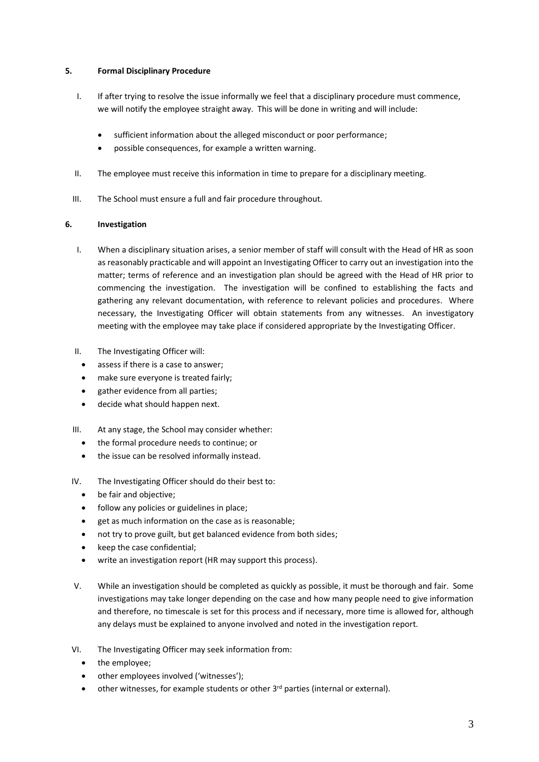## **5. Formal Disciplinary Procedure**

- I. If after trying to resolve the issue informally we feel that a disciplinary procedure must commence, we will notify the employee straight away. This will be done in writing and will include:
	- sufficient information about the alleged misconduct or poor performance;
	- possible consequences, for example a written warning.
- II. The employee must receive this information in time to prepare for a disciplinary meeting.
- III. The School must ensure a full and fair procedure throughout.

### **6. Investigation**

- I. When a disciplinary situation arises, a senior member of staff will consult with the Head of HR as soon as reasonably practicable and will appoint an Investigating Officer to carry out an investigation into the matter; terms of reference and an investigation plan should be agreed with the Head of HR prior to commencing the investigation. The investigation will be confined to establishing the facts and gathering any relevant documentation, with reference to relevant policies and procedures. Where necessary, the Investigating Officer will obtain statements from any witnesses. An investigatory meeting with the employee may take place if considered appropriate by the Investigating Officer.
- II. The Investigating Officer will:
	- assess if there is a case to answer;
	- make sure everyone is treated fairly;
	- gather evidence from all parties;
	- decide what should happen next.
- III. At any stage, the School may consider whether:
	- the formal procedure needs to continue; or
	- the issue can be resolved informally instead.
- IV. The Investigating Officer should do their best to:
	- be fair and objective;
	- follow any policies or guidelines in place;
	- get as much information on the case as is reasonable;
	- not try to prove guilt, but get balanced evidence from both sides;
	- keep the case confidential;
	- write an investigation report (HR may support this process).
- V. While an investigation should be completed as quickly as possible, it must be thorough and fair. Some investigations may take longer depending on the case and how many people need to give information and therefore, no timescale is set for this process and if necessary, more time is allowed for, although any delays must be explained to anyone involved and noted in the investigation report.
- VI. The Investigating Officer may seek information from:
	- the employee;
	- other employees involved ('witnesses');
	- other witnesses, for example students or other 3<sup>rd</sup> parties (internal or external).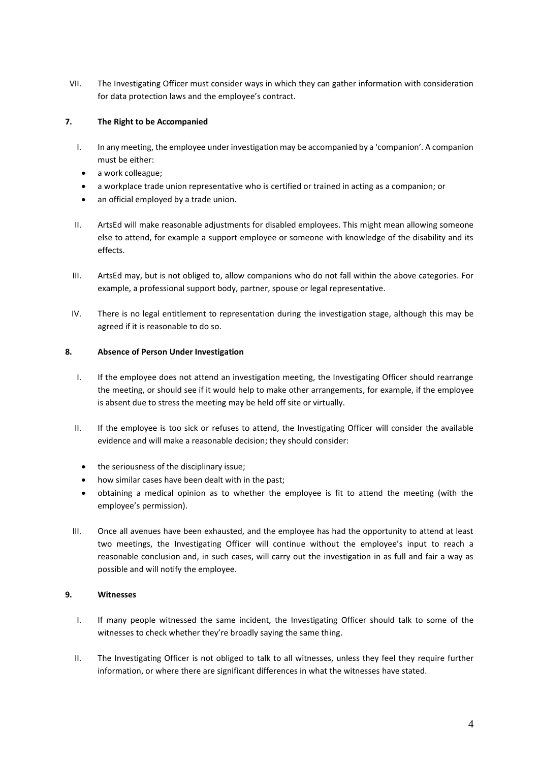VII. The Investigating Officer must consider ways in which they can gather information with consideration for data protection laws and the employee's contract.

# **7. The Right to be Accompanied**

- I. In any meeting, the employee under investigation may be accompanied by a 'companion'. A companion must be either:
- a work colleague;
- a workplace trade union representative who is certified or trained in acting as a companion; or
- an official employed by a trade union.
- II. ArtsEd will make reasonable adjustments for disabled employees. This might mean allowing someone else to attend, for example a support employee or someone with knowledge of the disability and its effects.
- III. ArtsEd may, but is not obliged to, allow companions who do not fall within the above categories. For example, a professional support body, partner, spouse or legal representative.
- IV. There is no legal entitlement to representation during the investigation stage, although this may be agreed if it is reasonable to do so.

## **8. Absence of Person Under Investigation**

- I. If the employee does not attend an investigation meeting, the Investigating Officer should rearrange the meeting, or should see if it would help to make other arrangements, for example, if the employee is absent due to stress the meeting may be held off site or virtually.
- II. If the employee is too sick or refuses to attend, the Investigating Officer will consider the available evidence and will make a reasonable decision; they should consider:
	- the seriousness of the disciplinary issue;
	- how similar cases have been dealt with in the past;
	- obtaining a medical opinion as to whether the employee is fit to attend the meeting (with the employee's permission).
- III. Once all avenues have been exhausted, and the employee has had the opportunity to attend at least two meetings, the Investigating Officer will continue without the employee's input to reach a reasonable conclusion and, in such cases, will carry out the investigation in as full and fair a way as possible and will notify the employee.

#### **9. Witnesses**

- I. If many people witnessed the same incident, the Investigating Officer should talk to some of the witnesses to check whether they're broadly saying the same thing.
- II. The Investigating Officer is not obliged to talk to all witnesses, unless they feel they require further information, or where there are significant differences in what the witnesses have stated.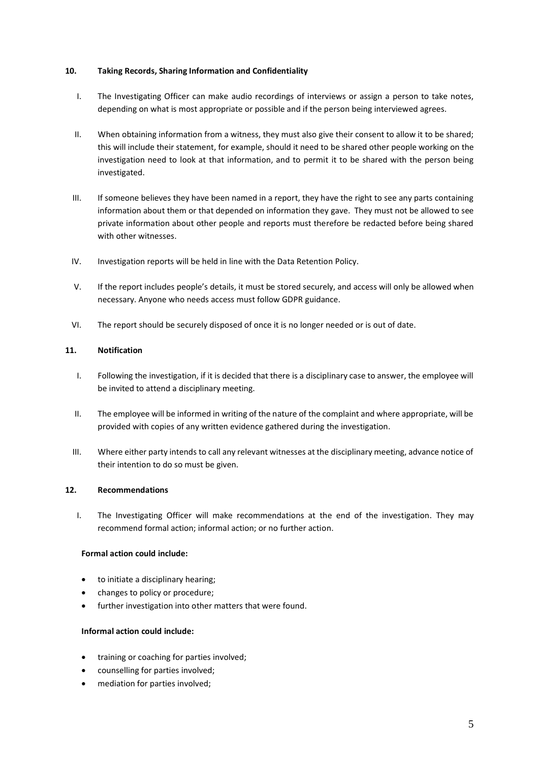#### **10. Taking Records, Sharing Information and Confidentiality**

- I. The Investigating Officer can make audio recordings of interviews or assign a person to take notes, depending on what is most appropriate or possible and if the person being interviewed agrees.
- II. When obtaining information from a witness, they must also give their consent to allow it to be shared; this will include their statement, for example, should it need to be shared other people working on the investigation need to look at that information, and to permit it to be shared with the person being investigated.
- III. If someone believes they have been named in a report, they have the right to see any parts containing information about them or that depended on information they gave. They must not be allowed to see private information about other people and reports must therefore be redacted before being shared with other witnesses.
- IV. Investigation reports will be held in line with the Data Retention Policy.
- V. If the report includes people's details, it must be stored securely, and access will only be allowed when necessary. Anyone who needs access must follow GDPR guidance.
- VI. The report should be securely disposed of once it is no longer needed or is out of date.

### **11. Notification**

- I. Following the investigation, if it is decided that there is a disciplinary case to answer, the employee will be invited to attend a disciplinary meeting.
- II. The employee will be informed in writing of the nature of the complaint and where appropriate, will be provided with copies of any written evidence gathered during the investigation.
- III. Where either party intends to call any relevant witnesses at the disciplinary meeting, advance notice of their intention to do so must be given.

# **12. Recommendations**

I. The Investigating Officer will make recommendations at the end of the investigation. They may recommend formal action; informal action; or no further action.

# **Formal action could include:**

- to initiate a disciplinary hearing;
- changes to policy or procedure;
- further investigation into other matters that were found.

#### **Informal action could include:**

- training or coaching for parties involved;
- counselling for parties involved;
- mediation for parties involved;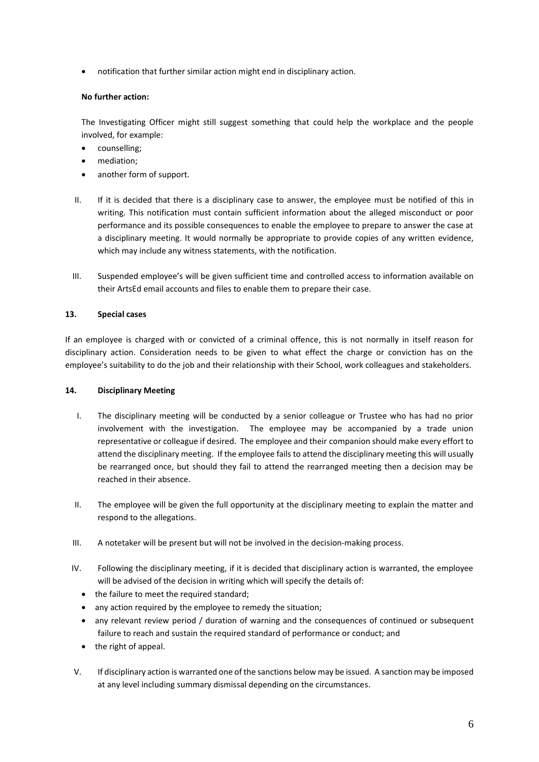• notification that further similar action might end in disciplinary action.

# **No further action:**

The Investigating Officer might still suggest something that could help the workplace and the people involved, for example:

- counselling;
- mediation;
- another form of support.
- II. If it is decided that there is a disciplinary case to answer, the employee must be notified of this in writing. This notification must contain sufficient information about the alleged misconduct or poor performance and its possible consequences to enable the employee to prepare to answer the case at a disciplinary meeting. It would normally be appropriate to provide copies of any written evidence, which may include any witness statements, with the notification.
- III. Suspended employee's will be given sufficient time and controlled access to information available on their ArtsEd email accounts and files to enable them to prepare their case.

# **13. Special cases**

If an employee is charged with or convicted of a criminal offence, this is not normally in itself reason for disciplinary action. Consideration needs to be given to what effect the charge or conviction has on the employee's suitability to do the job and their relationship with their School, work colleagues and stakeholders.

#### **14. Disciplinary Meeting**

- I. The disciplinary meeting will be conducted by a senior colleague or Trustee who has had no prior involvement with the investigation. The employee may be accompanied by a trade union representative or colleague if desired. The employee and their companion should make every effort to attend the disciplinary meeting. If the employee fails to attend the disciplinary meeting this will usually be rearranged once, but should they fail to attend the rearranged meeting then a decision may be reached in their absence.
- II. The employee will be given the full opportunity at the disciplinary meeting to explain the matter and respond to the allegations.
- III. A notetaker will be present but will not be involved in the decision-making process.
- IV. Following the disciplinary meeting, if it is decided that disciplinary action is warranted, the employee will be advised of the decision in writing which will specify the details of:
	- the failure to meet the required standard;
	- any action required by the employee to remedy the situation;
	- any relevant review period / duration of warning and the consequences of continued or subsequent failure to reach and sustain the required standard of performance or conduct; and
	- the right of appeal.
- V. If disciplinary action is warranted one of the sanctions below may be issued. A sanction may be imposed at any level including summary dismissal depending on the circumstances.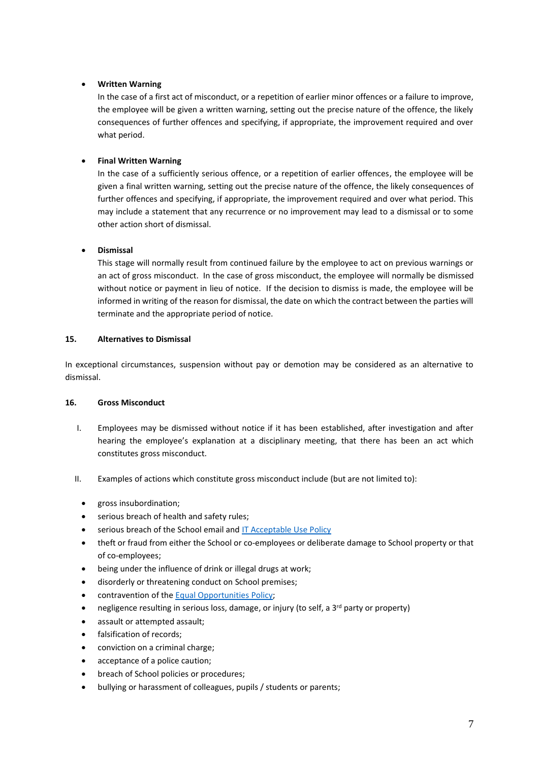# • **Written Warning**

In the case of a first act of misconduct, or a repetition of earlier minor offences or a failure to improve, the employee will be given a written warning, setting out the precise nature of the offence, the likely consequences of further offences and specifying, if appropriate, the improvement required and over what period.

# • **Final Written Warning**

In the case of a sufficiently serious offence, or a repetition of earlier offences, the employee will be given a final written warning, setting out the precise nature of the offence, the likely consequences of further offences and specifying, if appropriate, the improvement required and over what period. This may include a statement that any recurrence or no improvement may lead to a dismissal or to some other action short of dismissal.

# • **Dismissal**

This stage will normally result from continued failure by the employee to act on previous warnings or an act of gross misconduct. In the case of gross misconduct, the employee will normally be dismissed without notice or payment in lieu of notice. If the decision to dismiss is made, the employee will be informed in writing of the reason for dismissal, the date on which the contract between the parties will terminate and the appropriate period of notice.

# **15. Alternatives to Dismissal**

In exceptional circumstances, suspension without pay or demotion may be considered as an alternative to dismissal.

# **16. Gross Misconduct**

- I. Employees may be dismissed without notice if it has been established, after investigation and after hearing the employee's explanation at a disciplinary meeting, that there has been an act which constitutes gross misconduct.
- II. Examples of actions which constitute gross misconduct include (but are not limited to):
	- gross insubordination;
	- serious breach of health and safety rules;
	- serious breach of the School email and [IT Acceptable Use Policy](https://artsed003.blob.core.windows.net/policy/it-acceptable-use-policy.pdf)
	- theft or fraud from either the School or co-employees or deliberate damage to School property or that of co-employees;
	- being under the influence of drink or illegal drugs at work;
	- disorderly or threatening conduct on School premises;
	- contravention of the [Equal Opportunities Policy;](https://artsed003.blob.core.windows.net/policy/equal-opportunities-policy.pdf)
	- negligence resulting in serious loss, damage, or injury (to self, a 3<sup>rd</sup> party or property)
	- assault or attempted assault;
	- falsification of records;
	- conviction on a criminal charge;
	- acceptance of a police caution;
	- breach of School policies or procedures;
	- bullying or harassment of colleagues, pupils / students or parents;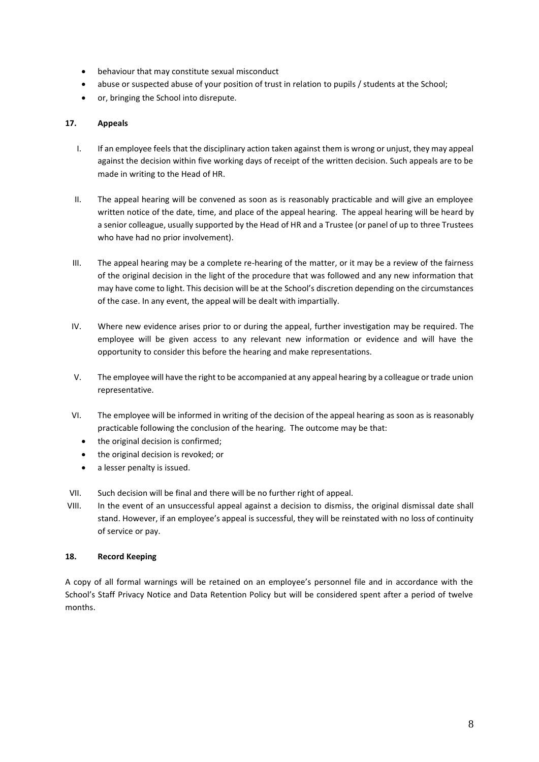- behaviour that may constitute sexual misconduct
- abuse or suspected abuse of your position of trust in relation to pupils / students at the School;
- or, bringing the School into disrepute.

## **17. Appeals**

- I. If an employee feels that the disciplinary action taken against them is wrong or unjust, they may appeal against the decision within five working days of receipt of the written decision. Such appeals are to be made in writing to the Head of HR.
- II. The appeal hearing will be convened as soon as is reasonably practicable and will give an employee written notice of the date, time, and place of the appeal hearing. The appeal hearing will be heard by a senior colleague, usually supported by the Head of HR and a Trustee (or panel of up to three Trustees who have had no prior involvement).
- III. The appeal hearing may be a complete re-hearing of the matter, or it may be a review of the fairness of the original decision in the light of the procedure that was followed and any new information that may have come to light. This decision will be at the School's discretion depending on the circumstances of the case. In any event, the appeal will be dealt with impartially.
- IV. Where new evidence arises prior to or during the appeal, further investigation may be required. The employee will be given access to any relevant new information or evidence and will have the opportunity to consider this before the hearing and make representations.
- V. The employee will have the right to be accompanied at any appeal hearing by a colleague or trade union representative.
- VI. The employee will be informed in writing of the decision of the appeal hearing as soon as is reasonably practicable following the conclusion of the hearing. The outcome may be that:
	- the original decision is confirmed;
	- the original decision is revoked; or
	- a lesser penalty is issued.
- VII. Such decision will be final and there will be no further right of appeal.
- VIII. In the event of an unsuccessful appeal against a decision to dismiss, the original dismissal date shall stand. However, if an employee's appeal is successful, they will be reinstated with no loss of continuity of service or pay.

#### **18. Record Keeping**

A copy of all formal warnings will be retained on an employee's personnel file and in accordance with the School's Staff Privacy Notice and Data Retention Policy but will be considered spent after a period of twelve months.